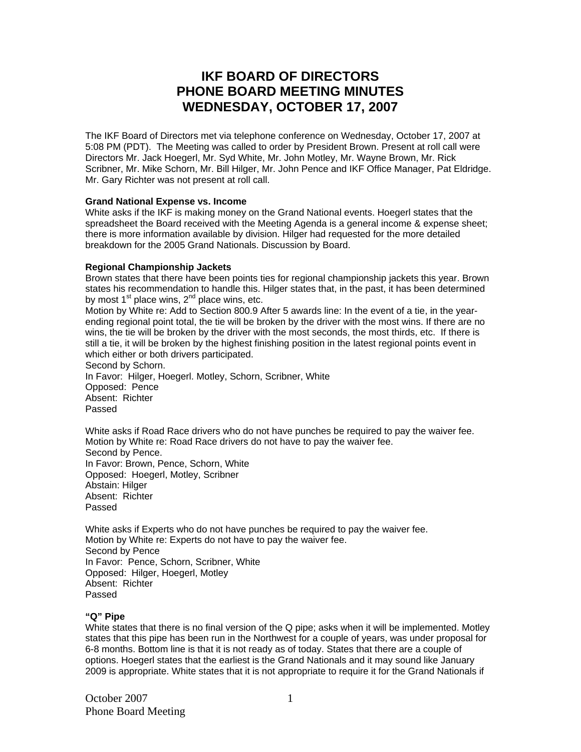# **IKF BOARD OF DIRECTORS PHONE BOARD MEETING MINUTES WEDNESDAY, OCTOBER 17, 2007**

The IKF Board of Directors met via telephone conference on Wednesday, October 17, 2007 at 5:08 PM (PDT). The Meeting was called to order by President Brown. Present at roll call were Directors Mr. Jack Hoegerl, Mr. Syd White, Mr. John Motley, Mr. Wayne Brown, Mr. Rick Scribner, Mr. Mike Schorn, Mr. Bill Hilger, Mr. John Pence and IKF Office Manager, Pat Eldridge. Mr. Gary Richter was not present at roll call.

## **Grand National Expense vs. Income**

White asks if the IKF is making money on the Grand National events. Hoegerl states that the spreadsheet the Board received with the Meeting Agenda is a general income & expense sheet; there is more information available by division. Hilger had requested for the more detailed breakdown for the 2005 Grand Nationals. Discussion by Board.

#### **Regional Championship Jackets**

Brown states that there have been points ties for regional championship jackets this year. Brown states his recommendation to handle this. Hilger states that, in the past, it has been determined by most  $1<sup>st</sup>$  place wins,  $2<sup>nd</sup>$  place wins, etc.

Motion by White re: Add to Section 800.9 After 5 awards line: In the event of a tie, in the yearending regional point total, the tie will be broken by the driver with the most wins. If there are no wins, the tie will be broken by the driver with the most seconds, the most thirds, etc. If there is still a tie, it will be broken by the highest finishing position in the latest regional points event in which either or both drivers participated.

Second by Schorn. In Favor: Hilger, Hoegerl. Motley, Schorn, Scribner, White Opposed: Pence Absent: Richter Passed

White asks if Road Race drivers who do not have punches be required to pay the waiver fee. Motion by White re: Road Race drivers do not have to pay the waiver fee. Second by Pence. In Favor: Brown, Pence, Schorn, White Opposed: Hoegerl, Motley, Scribner Abstain: Hilger Absent: Richter Passed

White asks if Experts who do not have punches be required to pay the waiver fee. Motion by White re: Experts do not have to pay the waiver fee. Second by Pence In Favor: Pence, Schorn, Scribner, White Opposed: Hilger, Hoegerl, Motley Absent: Richter Passed

# **"Q" Pipe**

White states that there is no final version of the Q pipe; asks when it will be implemented. Motley states that this pipe has been run in the Northwest for a couple of years, was under proposal for 6-8 months. Bottom line is that it is not ready as of today. States that there are a couple of options. Hoegerl states that the earliest is the Grand Nationals and it may sound like January 2009 is appropriate. White states that it is not appropriate to require it for the Grand Nationals if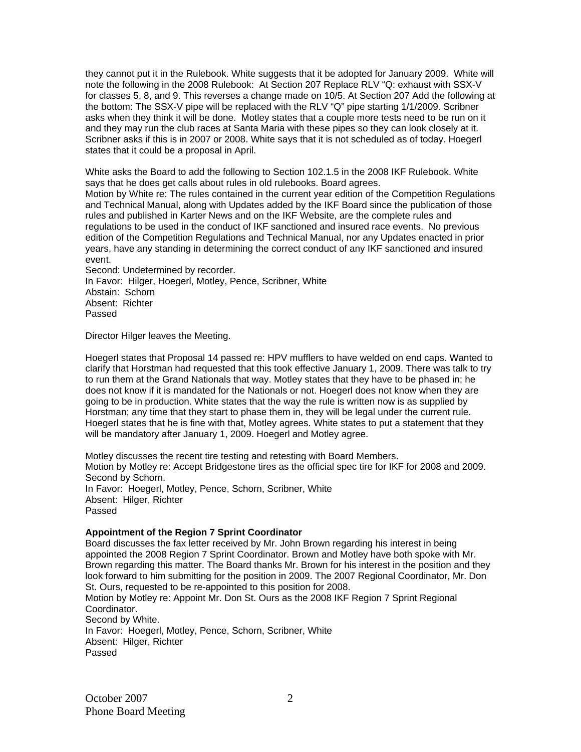they cannot put it in the Rulebook. White suggests that it be adopted for January 2009. White will note the following in the 2008 Rulebook: At Section 207 Replace RLV "Q: exhaust with SSX-V for classes 5, 8, and 9. This reverses a change made on 10/5. At Section 207 Add the following at the bottom: The SSX-V pipe will be replaced with the RLV "Q" pipe starting 1/1/2009. Scribner asks when they think it will be done. Motley states that a couple more tests need to be run on it and they may run the club races at Santa Maria with these pipes so they can look closely at it. Scribner asks if this is in 2007 or 2008. White says that it is not scheduled as of today. Hoegerl states that it could be a proposal in April.

White asks the Board to add the following to Section 102.1.5 in the 2008 IKF Rulebook. White says that he does get calls about rules in old rulebooks. Board agrees. Motion by White re: The rules contained in the current year edition of the Competition Regulations and Technical Manual, along with Updates added by the IKF Board since the publication of those rules and published in Karter News and on the IKF Website, are the complete rules and regulations to be used in the conduct of IKF sanctioned and insured race events. No previous edition of the Competition Regulations and Technical Manual, nor any Updates enacted in prior years, have any standing in determining the correct conduct of any IKF sanctioned and insured event.

Second: Undetermined by recorder. In Favor: Hilger, Hoegerl, Motley, Pence, Scribner, White Abstain: Schorn Absent: Richter Passed

Director Hilger leaves the Meeting.

Hoegerl states that Proposal 14 passed re: HPV mufflers to have welded on end caps. Wanted to clarify that Horstman had requested that this took effective January 1, 2009. There was talk to try to run them at the Grand Nationals that way. Motley states that they have to be phased in; he does not know if it is mandated for the Nationals or not. Hoegerl does not know when they are going to be in production. White states that the way the rule is written now is as supplied by Horstman; any time that they start to phase them in, they will be legal under the current rule. Hoegerl states that he is fine with that, Motley agrees. White states to put a statement that they will be mandatory after January 1, 2009. Hoegerl and Motley agree.

Motley discusses the recent tire testing and retesting with Board Members. Motion by Motley re: Accept Bridgestone tires as the official spec tire for IKF for 2008 and 2009. Second by Schorn. In Favor: Hoegerl, Motley, Pence, Schorn, Scribner, White Absent: Hilger, Richter Passed

# **Appointment of the Region 7 Sprint Coordinator**

Board discusses the fax letter received by Mr. John Brown regarding his interest in being appointed the 2008 Region 7 Sprint Coordinator. Brown and Motley have both spoke with Mr. Brown regarding this matter. The Board thanks Mr. Brown for his interest in the position and they look forward to him submitting for the position in 2009. The 2007 Regional Coordinator, Mr. Don St. Ours, requested to be re-appointed to this position for 2008.

Motion by Motley re: Appoint Mr. Don St. Ours as the 2008 IKF Region 7 Sprint Regional Coordinator. Second by White.

In Favor: Hoegerl, Motley, Pence, Schorn, Scribner, White Absent: Hilger, Richter Passed